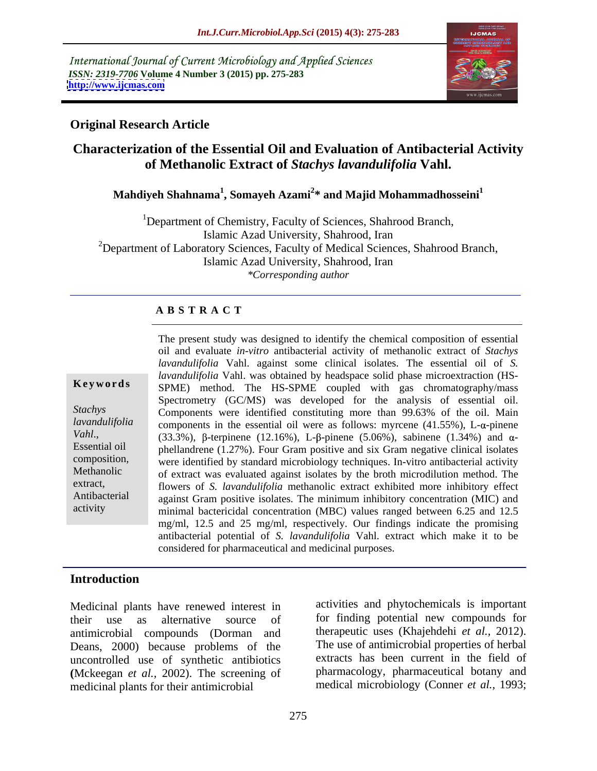International Journal of Current Microbiology and Applied Sciences *ISSN: 2319-7706* **Volume 4 Number 3 (2015) pp. 275-283 <http://www.ijcmas.com>**



## **Original Research Article**

## **Characterization of the Essential Oil and Evaluation of Antibacterial Activity of Methanolic Extract of** *Stachys lavandulifolia* **Vahl.**

## **Mahdiyeh Shahnama<sup>1</sup> , Somayeh Azami<sup>2</sup> \* and Majid Mohammadhosseini1**

<sup>1</sup>Department of Chemistry, Faculty of Sciences, Shahrood Branch, Islamic Azad University, Shahrood, Iran <sup>2</sup>Department of Laboratory Sciences, Faculty of Medical Sciences, Shahrood Branch, Islamic Azad University, Shahrood, Iran *\*Corresponding author*

### **A B S T R A C T**

| Keywords |  |  |
|----------|--|--|
|----------|--|--|

activity

The present study was designed to identify the chemical composition of essential oil and evaluate *in-vitro* antibacterial activity of methanolic extract of *Stachys lavandulifolia* Vahl. against some clinical isolates. The essential oil of *S. lavandulifolia* Vahl. was obtained by headspace solid phase microextraction (HS- **Keywords** SPME) method. The HS-SPME coupled with gas chromatography/mass Spectrometry (GC/MS) was developed for the analysis of essential oil. Components were identified constituting more than 99.63% of the oil. Main *Stachys lavandulifolia* components in the essential oil were as follows: myrcene (41.55%), L- $\alpha$ -pinene Vahl., (33.3%),  $\beta$ -terpinene (12.16%), L- $\beta$ -pinene (5.06%), sabinene (1.34%) and  $\alpha$ -<br>Essential oil inhellandrene (1.27%). Four Gram positive and six Gram negative clinical isolates phellandrene (1.27%). Four Gram positive and six Gram negative clinical isolates were identified by standard microbiology techniques. In-vitro antibacterial activity composition, Methanolic of extract was evaluated against isolates by the broth microdilution method. The extract, flowers of *S. lavandulifolia* methanolic extract exhibited more inhibitory effect Antibacterial against Gram positive isolates. The minimum inhibitory concentration (MIC) and minimal bactericidal concentration (MBC) values ranged between 6.25 and 12.5 mg/ml, 12.5 and 25 mg/ml, respectively. Our findings indicate the promising antibacterial potential of *S. lavandulifolia* Vahl. extract which make it to be considered for pharmaceutical and medicinal purposes.

## **Introduction**

Medicinal plants have renewed interest in their use as alternative source of for finding potential new compounds for antimicrobial compounds (Dorman and the the set of antimicrobial properties of herbal<br>Deans 2000) because problems of the The use of antimicrobial properties of herbal Deans, 2000) because problems of the uncontrolled use of synthetic antibiotics **(**Mckeegan *et al.,* 2002).The screening of medicinal plants for their antimicrobial

activities and phytochemicals is important therapeutic uses (Khajehdehi *et al.*, 2012).<br>The use of antimicrobial properties of herbal extracts has been current in the field of pharmacology, pharmaceutical botany and medical microbiology (Conner *et al.,* 1993;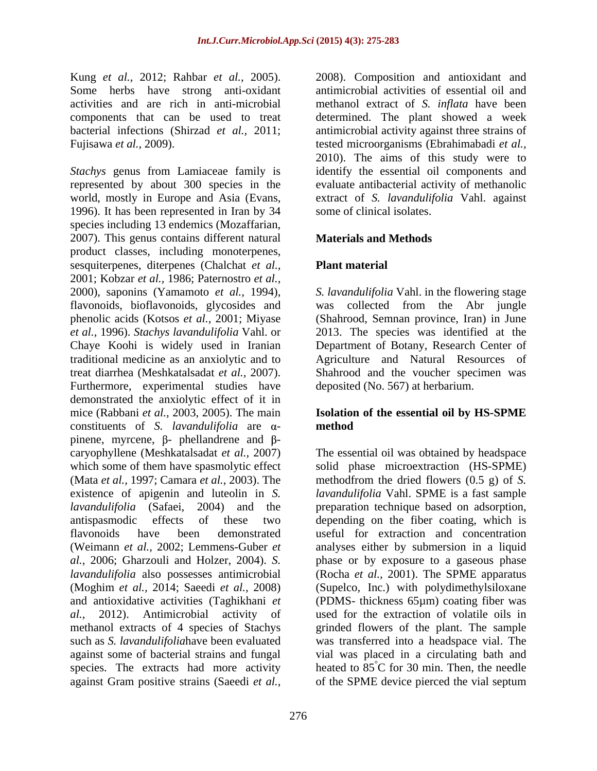Kung *et al.,* 2012; Rahbar *et al.,* 2005). 2008). Composition and antioxidant and Some herbs have strong anti-oxidant antimicrobial activities of essential oil and activities and are rich in anti-microbial methanol extract of *S. inflata* have been components that can be used to treat determined. The plant showed a week bacterial infections (Shirzad *et al.,* 2011; antimicrobial activity against three strains of Fujisawa *et al.,* 2009). tested microorganisms (Ebrahimabadi *et al.,*

*Stachys* genus from Lamiaceae family is identify the essential oil components and represented by about 300 species in the evaluate antibacterial activity of methanolic world, mostly in Europe and Asia (Evans, extract of *S. lavandulifolia* Vahl. against 1996). It has been represented in Iran by 34 species including 13 endemics (Mozaffarian, 2007). This genus contains different natural **Materials and Methods** product classes, including monoterpenes, sesquiterpenes, diterpenes (Chalchat *et al.,* 2001; Kobzar *et al.,* 1986; Paternostro *et al.,* 2000), saponins (Yamamoto *et al.,* 1994), *S. lavandulifolia* Vahl. in the flowering stage flavonoids, bioflavonoids, glycosides and was collected from the Abr jungle phenolic acids (Kotsos *et al.,* 2001; Miyase (Shahrood, Semnan province, Iran) in June *et al.,* 1996). *Stachys lavandulifolia* Vahl. or 2013. The species was identified at the Chaye Koohi is widely used in Iranian Department of Botany, Research Center of traditional medicine as an anxiolytic and to Agriculture and Natural Resources of treat diarrhea (Meshkatalsadat *et al.,* 2007). Shahrood and the voucher specimen was Furthermore, experimental studies have demonstrated the anxiolytic effect of it in mice (Rabbani *et al.,* 2003, 2005). The main **Isolation of the essential oil byHS-SPME**  constituents of *S. lavandulifolia* are  $\alpha$ - method pinene, myrcene,  $\beta$ - phellandrene and  $\beta$ caryophyllene (Meshkatalsadat *et al.,* 2007) The essential oil was obtained by headspace which some of them have spasmolytic effect solid phase microextraction (HS-SPME) (Mata *et al.,* 1997; Camara *et al.,* 2003). The methodfrom the dried flowers (0.5 g) of *S.*  existence of apigenin and luteolin in *S. lavandulifolia* Vahl. SPME is a fast sample *lavandulifolia* (Safaei, 2004) and the preparation technique based on adsorption, antispasmodic effects of these two depending on the fiber coating, which is flavonoids have been demonstrated useful for extraction and concentration (Weimann *et al.,* 2002; Lemmens-Guber *et*  analyses either by submersion in a liquid *al.,* 2006; Gharzouli and Holzer, 2004). *S.*  phase or by exposure to a gaseous phase *lavandulifolia* also possesses antimicrobial (Rocha *et al.,* 2001).The SPME apparatus (Moghim *et al.,* 2014; Saeedi *et al.,* 2008) (Supelco, Inc.) with polydimethylsiloxane and antioxidative activities (Taghikhani *et*  (PDMS- thickness 65µm) coating fiber was *al.,* 2012). Antimicrobial activity of used for the extraction of volatile oils in methanol extracts of 4 species of Stachys grinded flowers of the plant. The sample such as *S. lavandulifolia*have been evaluated was transferred into a headspace vial. The against some of bacterial strains and fungal vial was placed in a circulating bath and species. The extracts had more activity heated to 85 °C for 30 min. Then, the needle against Gram positive strains (Saeedi *et al.,* of the SPME device pierced the vial septum

2010). The aims of this study were to some of clinical isolates.

## **Materials and Methods**

## **Plant material**

deposited (No. 567) at herbarium.

# **method**

°C for 30 min. Then, the needle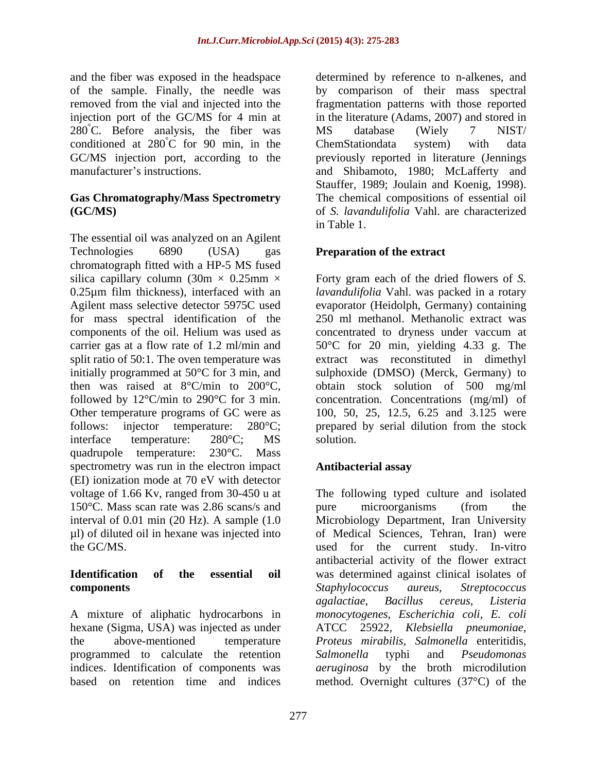and the fiber was exposed in the headspace determined by reference to n-alkenes, and  $280^{\circ}$ C. Before analysis, the fiber was MS database (Wiely 7 NIST) conditioned at  $280^{\circ}$ C for 90 min, in the ChemStation data system) with data

# **Gas Chromatography/Mass Spectrometry**

The essential oil was analyzed on an Agilent Technologies 6890 (USA) gas **Preparation of the extract** chromatograph fitted with a HP-5 MS fused silica capillary column  $(30m \times 0.25mm \times$  Forty gram each of the dried flowers of *S*. 0.25µm film thickness), interfaced with an *lavandulifolia* Vahl. was packed in a rotary Agilent mass selective detector 5975C used evaporator (Heidolph, Germany) containing for mass spectral identification of the 250 ml methanol. Methanolic extract was components of the oil. Helium was used as concentrated to dryness under vaccum at carrier gas at a flow rate of 1.2 ml/min and 50°C for 20 min, yielding 4.33 g. The split ratio of 50:1. The oven temperature was extract was reconstituted in dimethyl initially programmed at 50°C for 3 min, and sulphoxide (DMSO) (Merck, Germany) to then was raised at 8°C/min to 200°C, obtain stock solution of 500 mg/ml followed by  $12^{\circ}$ C/min to  $290^{\circ}$ C for 3 min. concentration. Concentrations (mg/ml) of Other temperature programs of GC were as 100, 50, 25, 12.5, 6.25 and 3.125 were follows: injector temperature: 280°C; prepared by serial dilution from the stock interface temperature: 280°C; MS solution. quadrupole temperature: 230°C. Mass spectrometry was run in the electron impact **Antibacterial assay** (EI) ionization mode at 70 eV with detector 150°C. Mass scan rate was 2.86 scans/s and pure microorganisms (from the µl) of diluted oil in hexane was injected into

hexane (Sigma, USA) was injected as under programmed to calculate the retention Salmonella typhi and Pseudomonas based on retention time and indices method. Overnight cultures  $(37^{\circ}C)$  of the

of the sample. Finally, the needle was by comparison of their mass spectral removed from the vial and injected into the fragmentation patterns with those reported injection port of the GC/MS for 4 min at in the literature (Adams, 2007) and stored in <sup>°</sup>C for 90 min, in the ChemStationdata system) with data GC/MS injection port, according to the previously reported in literature (Jennings manufacturer's instructions. The and Shibamoto, 1980; McLafferty and **(GC/MS)** of *S. lavandulifolia* Vahl. are characterized MS database (Wiely 7 NIST/ ChemStationdata system) with data Stauffer, 1989; Joulain and Koenig, 1998). The chemical compositions of essential oil in Table 1.

solution.

## **Antibacterial assay**

voltage of 1.66 Kv, ranged from 30-450 u at The following typed culture and isolated interval of 0.01 min (20 Hz). A sample (1.0 Microbiology Department, Iran University the GC/MS. used for the current study. In-vitro **Identification of the essential oil** was determined against clinical isolates of **components** Staphylococcus aureus, Streptococcus A mixture of aliphatic hydrocarbons in *monocytogenes*, *Escherichia coli, E. coli* the above-mentioned temperature *Proteus mirabilis*, *Salmonella* enteritidis, indices. Identification of components was *aeruginosa* by the broth microdilution pure microorganisms (from the of Medical Sciences, Tehran, Iran) were antibacterial activity of the flower extract *Staphylococcus aureus*, *Streptococcus agalactiae*, *Bacillus cereus*, *Listeria*  ATCC 25922*, Klebsiella pneumoniae*, *Salmonella* typhi and *Pseudomonas*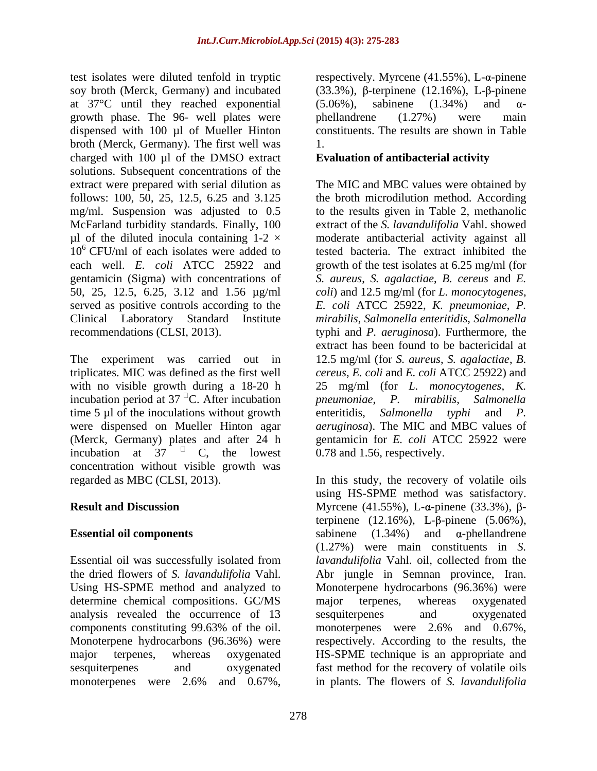test isolates were diluted tenfold in tryptic respectively. Myrcene  $(41.55\%)$ , L- $\alpha$ -pinene soy broth (Merck, Germany) and incubated  $(33.3\%)$ ,  $\beta$ -terpinene  $(12.16\%)$ , L- $\beta$ -pinene at 37 $\degree$ C until they reached exponential (5.06%), sabinene (1.34%) and  $\alpha$ growth phase. The 96- well plates were phellandrene (1.27%) were main dispensed with 100 µl of Mueller Hinton broth (Merck, Germany). The first well was charged with 100 µl of the DMSO extract solutions. Subsequent concentrations of the extract were prepared with serial dilution as The MIC and MBC values were obtained by follows: 100, 50, 25, 12.5, 6.25 and 3.125 the broth microdilution method. According mg/ml. Suspension was adjusted to 0.5 to the results given in Table 2, methanolic McFarland turbidity standards. Finally, 100 extract of the *S. lavandulifolia* Vahl. showed µl of the diluted inocula containing 1-2 × moderate antibacterial activity against all  $10<sup>6</sup>$  CFU/ml of each isolates were added to tested bacteria. The extract inhibited the each well. *E. coli* ATCC 25922 and growth of the test isolates at 6.25 mg/ml (for gentamicin (Sigma) with concentrations of 50, 25, 12.5, 6.25, 3.12 and 1.56 µg/ml *coli*) and 12.5 mg/ml (for *L. monocytogenes*, served as positive controls according to the Clinical Laboratory Standard Institute *mirabilis*, *Salmonella enteritidis*, *Salmonella*

The experiment was carried out in 12.5 mg/ml (for *S. aureus*, *S. agalactiae*, *B.*  triplicates. MIC was defined as the first well *cereus*, *E. coli* and *E. coli* ATCC 25922) and with no visible growth during a 18-20 h 25 mg/ml (for *L. monocytogenes*, *K.*  incubation period at  $37^{\circ}$ C. After incubation pneumoniae, P. mirabilis, Salmonella time 5 µl of the inoculations without growth enteritidis, Salmonella typhi and P. were dispensed on Mueller Hinton agar *aeruginosa*). The MIC and MBC values of (Merck, Germany) plates and after 24 h gentamicin for *E. coli* ATCC 25922 were incubation at 37  $\textdegree$  C, the lowest 0.78 and 1.56, respectively. concentration without visible growth was

Essential oil was successfully isolated from determine chemical compositions. GC/MS major terpenes, whereas oxygenated analysis revealed the occurrence of 13

 $(5.06\%)$ , sabinene  $(1.34\%)$  and  $\alpha$ phellandrene (1.27%) were main constituents. The results are shown in Table 1.

## **Evaluation of antibacterial activity**

recommendations (CLSI, 2013). typhi and *P. aeruginosa*). Furthermore, the *S. aureus*, *S. agalactiae*, *B. cereus* and *E. E. coli* ATCC 25922, *K. pneumoniae*, *P.*  extract has been found to be bactericidal at *pneumoniae*, *P. mirabilis*, *Salmonella* enteritidis, *Salmonella typhi* and *P.*

regarded as MBC (CLSI, 2013). In this study, the recovery of volatile oils **Result and Discussion** Myrcene (41.55%), L- $\alpha$ -pinene (33.3%),  $\beta$ -**Essential oil components**  $\omega$  sabinene  $(1.34\%)$  and  $\alpha$ -phellandrene the dried flowers of *S. lavandulifolia* Vahl. Abr jungle in Semnan province, Iran. Using HS-SPME method and analyzed to Monoterpene hydrocarbons (96.36%) were components constituting 99.63% of the oil. Monoterpene hydrocarbons (96.36%) were respectively. According to the results, the major terpenes, whereas oxygenated HS-SPME technique is an appropriate and sesquiterpenes and oxygenated fast method for the recovery of volatile oils monoterpenes were 2.6% and 0.67%, in plants. The flowers of S. lavandulifolia using HS-SPME method was satisfactory. terpinene  $(12.16\%)$ , L- $\beta$ -pinene  $(5.06\%)$ , (1.27%) were main constituents in *S. lavandulifolia* Vahl. oil, collected from the major terpenes, whereas oxygenated sesquiterpenes and oxygenated monoterpenes were 2.6% and 0.67%, in plants. The flowers of *S. lavandulifolia*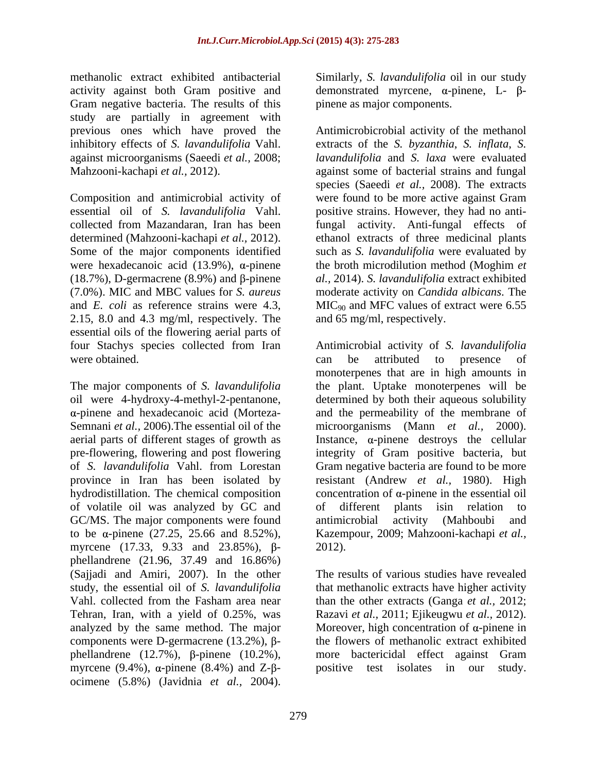methanolic extract exhibited antibacterial Similarly, *S. lavandulifolia* oil in our study activity against both Gram positive and Gram negative bacteria. The results of this study are partially in agreement with

essential oil of *S. lavandulifolia* Vahl. were hexadecanoic acid  $(13.9\%)$ ,  $\alpha$ -pinene (18.7%), D-germacrene (8.9%) and  $\beta$ -pinene 2.15, 8.0 and 4.3 mg/ml, respectively. The essential oils of the flowering aerial parts of were obtained. The can be attributed to presence of

of volatile oil was analyzed by GC and GC/MS. The major components were found antimicrobial activity (Mahboubi and to be  $\alpha$ -pinene (27.25, 25.66 and 8.52%), myrcene  $(17.33, 9.33 \text{ and } 23.85\%)$ ,  $\beta$ - 2012). phellandrene (21.96, 37.49 and 16.86%) (Sajjadi and Amiri, 2007). In the other analyzed by the same method. The major components were D-germacrene  $(13.2\%)$ ,  $\beta$ phellandrene  $(12.7\%)$ ,  $\beta$ -pinene  $(10.2\%)$ , more bactericidal effect against Gram myrcene (9.4%),  $\alpha$ -pinene (8.4%) and Z- $\beta$ - positive test isolates in our study. ocimene (5.8%) (Javidnia *et al.,* 2004).

demonstrated myrcene,  $\alpha$ -pinene, L- $\beta$ pinene as major components.

previous ones which have proved the Antimicrobicrobial activity of the methanol inhibitory effects of *S. lavandulifolia* Vahl. extracts of the *S. byzanthia*, *S. inflata*, *S.*  against microorganisms (Saeedi *et al.,* 2008; *lavandulifolia* and *S. laxa* were evaluated Mahzooni-kachapi *et al.,* 2012). against some of bacterial strains and fungal Composition and antimicrobial activity of were found to be more active against Gram collected from Mazandaran, Iran has been fungal activity. Anti-fungal effects of determined (Mahzooni-kachapi *et al.,* 2012). ethanol extracts of three medicinal plants Some of the major components identified such as *S. lavandulifolia* were evaluated by (7.0%). MIC and MBC values for *S. aureus* moderate activity on *Candida albicans*. The and *E. coli* as reference strains were 4.3, MIC<sub>90</sub> and MFC values of extract were 6.55 species (Saeedi *et al.,* 2008). The extracts positive strains. However, they had no antithe broth microdilution method (Moghim *et al.,* 2014). *S. lavandulifolia* extract exhibited and 65 mg/ml, respectively.

four Stachys species collected from Iran Antimicrobial activity of *S. lavandulifolia* The major components of *S. lavandulifolia* the plant. Uptake monoterpenes will be oil were 4-hydroxy-4-methyl-2-pentanone, determined by both their aqueous solubility  $\alpha$ -pinene and hexadecanoic acid (Morteza- and the permeability of the membrane of Semnani *et al.,* 2006).The essential oil of the microorganisms (Mann *et al.,* 2000). aerial parts of different stages of growth as  $\qquad$  Instance,  $\alpha$ -pinene destroys the cellular pre-flowering, flowering and post flowering integrity of Gram positive bacteria, but of *S. lavandulifolia* Vahl. from Lorestan Gram negative bacteria are found to be more province in Iran has been isolated by resistant (Andrew *et al.,* 1980). High hydrodistillation. The chemical composition  $\qquad$  concentration of  $\alpha$ -pinene in the essential oil can be attributed to presence of monoterpenes that are in high amounts in determined by both their aqueous solubility and the permeability of the membrane of of different plants isin relation to antimicrobial activity (Mahboubi and Kazempour, 2009; Mahzooni-kachapi *et al.,* 2012).

study, the essential oil of *S. lavandulifolia* that methanolic extracts have higher activity Vahl. collected from the Fasham area near than the other extracts (Ganga *et al.,* 2012; Tehran, Iran, with a yield of 0.25%, was Razavi *et al.,* 2011; Ejikeugwu *et al.,* 2012). The results of various studies have revealed Moreover, high concentration of  $\alpha$ -pinene in the flowers of methanolic extract exhibited more bactericidal effect against Gram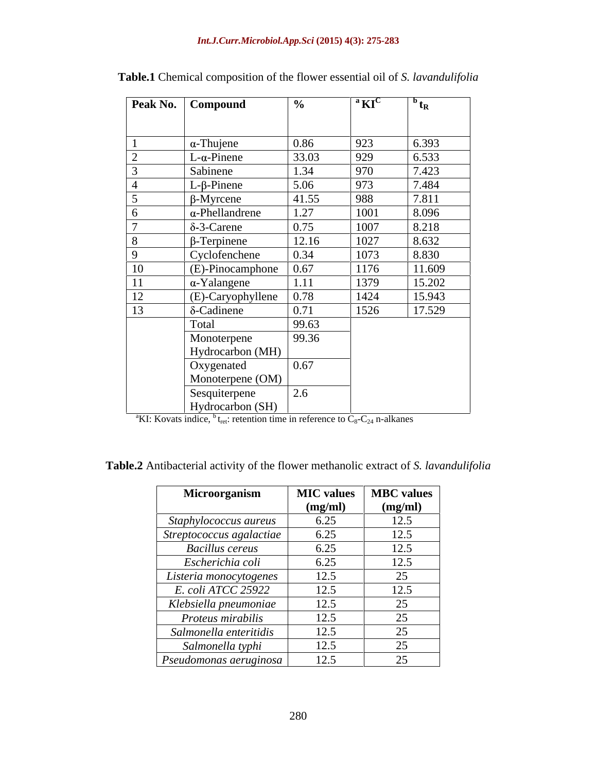### *Int.J.Curr.Microbiol.App.Sci* **(2015) 4(3): 275-283**

|               | Peak No.   Compound         | $\frac{6}{10}$ | $\boldsymbol{a}$ KI <sup>C</sup> | $^{\prime\prime}$ t <sub>R</sub> |
|---------------|-----------------------------|----------------|----------------------------------|----------------------------------|
|               |                             |                |                                  |                                  |
|               |                             |                |                                  |                                  |
|               | $\alpha$ -Thujene           | 0.86           | 923                              | 6.393                            |
|               | $\vert$ L- $\alpha$ -Pinene | 33.03          | 929                              | $\frac{6.533}{7.423}$            |
|               | Sabinene                    | 1.34           | 970                              |                                  |
|               | $L$ - $\beta$ -Pinene       | 5.06           | 973                              | 7.484                            |
|               | $\beta$ -Myrcene            | 41.55          | 988                              | 7.811                            |
|               | $\alpha$ -Phellandrene      | 1.27           | 1001                             | 8.096                            |
|               | $\delta$ -3-Carene          | 0.75           | 1007                             | 8.218                            |
|               | $\beta$ -Terpinene          | 12.16          | 1027                             | 8.632                            |
|               | Cyclofenchene               | 0.34           | 1073                             | 8.830                            |
|               | $(E)$ -Pinocamphone         | 0.67           | 1176                             | 11.609                           |
| <sup>11</sup> | $\alpha$ -Yalangene         |                | 1379                             | 15.202                           |
| 12            | (E)-Caryophyllene           | 0.78           | 1424                             | 15.943                           |
| 13            | $\delta$ -Cadinene          | 0.71           | 1526                             | 17.529                           |
|               | Total                       | 99.63          |                                  |                                  |
|               |                             |                |                                  |                                  |
|               | Monoterpene                 | 99.36          |                                  |                                  |
|               | Hydrocarbon (MH)            |                |                                  |                                  |
|               | Oxygenated                  | 0.67           |                                  |                                  |
|               | Monoterpene (OM)            |                |                                  |                                  |
|               | Sesquiterpene               | 2.6            |                                  |                                  |
|               | Hydrocarbon (SH)            |                |                                  |                                  |

| Table.1 Chemical composition of<br>the flower essential oil of S. $\iota$ | 'avandulitolia |  |  |
|---------------------------------------------------------------------------|----------------|--|--|
|                                                                           |                |  |  |

<sup>a</sup>KI: Kovats indice,  ${}^{b}$  t<sub>ret</sub>: retention time in reference to  $C_8-C_{24}$  n-alkanes

**Table.2** Antibacterial activity of the flower methanolic extract of *S. lavandulifolia*

| Microorganism             |         | MIC values   MBC values |
|---------------------------|---------|-------------------------|
|                           | (mg/ml) | (mg/ml)                 |
| Staphylococcus aureus     | 6.25    | 12.5                    |
| Streptococcus agalactiae  | 6.25    | 12.5                    |
| <b>Bacillus cereus</b>    | 6.25    | 12.5                    |
| Escherichia coli          | 6.25    | 12.5                    |
| Listeria monocytogenes    | 12.5    | 25                      |
| <i>E. coli ATCC 25922</i> | 12.5    | 12.5                    |
| Klebsiella pneumoniae     | 12.5    | 25                      |
| Proteus mirabilis         | 12.5    | 25                      |
| Salmonella enteritidis    | 12.5    | 25                      |
| Salmonella typhi          | 12.5    | 25                      |
| Pseudomonas aeruginosa    | 12.5    | 25                      |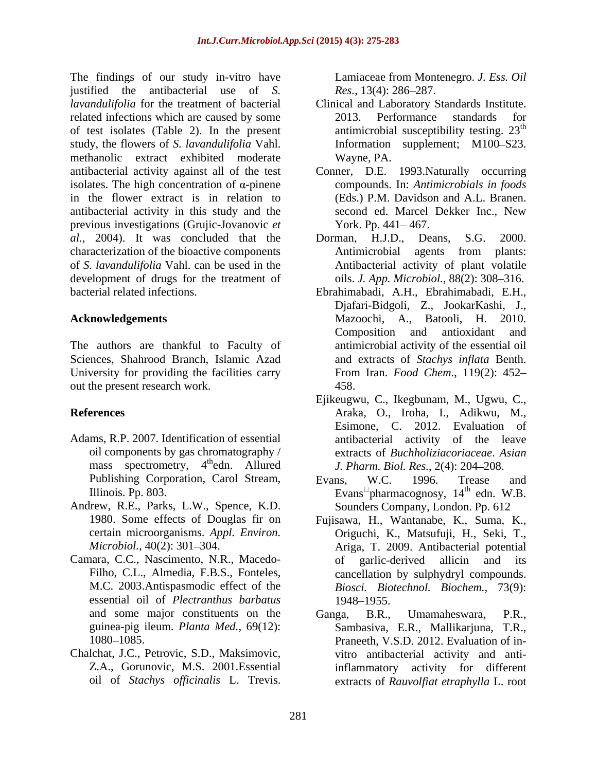The findings of our study in-vitro have Lamiaceae from Montenegro. J. Ess. Oil justified the antibacterial use of *S. lavandulifolia* for the treatment of bacterial Clinical and Laboratory Standards Institute. related infections which are caused by some 2013. Performance standards for of test isolates (Table 2). In the present study, the flowers of *S. lavandulifolia* Vahl. methanolic extract exhibited moderate antibacterial activity against all of the test Conner, D.E. 1993.Naturally occurring isolates. The high concentration of  $\alpha$ -pinene in the flower extract is in relation to antibacterial activity in this study and the previous investigations (Grujic-Jovanovic *et al.,* 2004). It was concluded that the characterization of the bioactive components Antimicrobial agents from plants: of *S. lavandulifolia* Vahl. can be used in the development of drugs for the treatment of findings of our study in its because from Montenegro. *J. F.s., Oil*<br>
findings of our stach is exampled in the cause of  $\chi$  and  $\chi$  is the cause of the cause of the cause of  $\chi$  is the cause of  $\chi$  is the cause of  $\chi$ 

The authors are thankful to Faculty of Sciences, Shahrood Branch, Islamic Azad University for providing the facilities carry out the present research work. 458.

- Adams, R.P. 2007. Identification of essential mass spectrometry, 4<sup>th</sup>edn. Allured Publishing Corporation, Carol Stream, Evans, W.C. 1996. Trease and
- Andrew, R.E., Parks, L.W., Spence, K.D.
- Camara, C.C., Nascimento, N.R., Macedo essential oil of *Plectranthus barbatus*
- Chalchat, J.C., Petrovic, S.D., Maksimovic,

*Res.*, 13(4): 286–287.

- 2013. Performance standards for antimicrobial susceptibility testing.  $23<sup>th</sup>$ th Information supplement; M100-S23. Wayne, PA.
- compounds. In: *Antimicrobials in foods* (Eds.) P.M. Davidson and A.L. Branen. second ed. Marcel Dekker Inc., New York. Pp. 441-467.
- Dorman, H.J.D., Deans, Antimicrobial agents from plants: Antibacterial activity of plant volatile oils. *J. App. Microbiol.*, 88(2): 308–316.
- bacterial related infections. Ebrahimabadi, A.H., Ebrahimabadi, E.H., **Acknowledgements** Mazoochi, A., Batooli, H. 2010. Djafari-Bidgoli, Z., JookarKashi, J., Composition and antioxidant and antimicrobial activity of the essential oil and extracts of *Stachys inflata* Benth. From Iran. *Food Chem*., 119(2): 452 458.
- **References** Araka, O., Iroha, I., Adikwu, M., oil components by gas chromatography / extracts of *Buchholiziacoriaceae*. *Asian*  th edn. Allured *J. Pharm. Biol. Res.*, 2(4): 204 208. Ejikeugwu, C., Ikegbunam, M., Ugwu, C., Esimone, C. 2012. Evaluation of antibacterial activity of the leave
	- Illinois. Pp. 803.  $\blacksquare$   $\blacksquare$   $\blacksquare$   $\blacksquare$   $\blacksquare$   $\blacksquare$   $\blacksquare$   $\blacksquare$   $\blacksquare$   $\blacksquare$   $\blacksquare$   $\blacksquare$   $\blacksquare$   $\blacksquare$   $\blacksquare$   $\blacksquare$   $\blacksquare$   $\blacksquare$   $\blacksquare$   $\blacksquare$   $\blacksquare$   $\blacksquare$   $\blacksquare$   $\blacksquare$   $\blacksquare$   $\blacksquare$   $\blacksquare$   $\blacksquare$   $\blacksquare$ Evans, W.C. 1996. Trease and  $th$  edn. W.B. Sounders Company, London. Pp. 612
	- 1980. Some effects of Douglas fir on Fujisawa, H., Wantanabe, K., Suma, K., certain microorganisms. *Appl. Environ.* Origuchi, K., Matsufuji, H., Seki, T., Microbiol., 40(2): 301-304. <br>Ariga, T. 2009. Antibacterial potential Filho, C.L., Almedia, F.B.S., Fonteles, cancellation by sulphydryl compounds. M.C. 2003.Antispasmodic effect of the *Biosci. Biotechnol. Biochem.*, 73(9): of garlic-derived allicin and its 1948–1955.
	- and some major constituents on the Ganga, B.R., Umamaheswara, P.R., guinea-pig ileum. *Planta Med.*, 69(12): Sambasiva, E.R., Mallikarjuna, T.R., 1080–1085. Praneeth, V.S.D. 2012. Evaluation of in-Z.A., Gorunovic, M.S. 2001.Essential inflammatory activity for different Ganga, B.R., Umamaheswara, P.R., vitro antibacterial activity and antiextracts of *Rauvolfiat etraphylla* L. root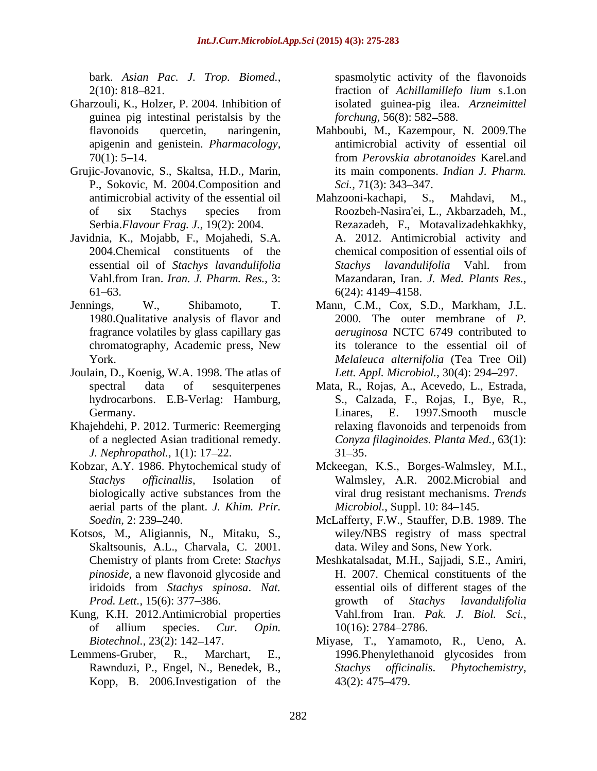- Gharzouli, K., Holzer, P. 2004. Inhibition of guinea pig intestinal peristalsis by the *forchung*, 56(8): 582–588.
- Grujic-Jovanovic, S., Skaltsa, H.D., Marin, P., Sokovic, M. 2004. Composition and *Sci.*, 71(3): 343–347.
- Javidnia, K., Mojabb, F., Mojahedi, S.A.
- chromatography, Academic press, New
- Joulain, D., Koenig, W.A. 1998. The atlas of
- Khajehdehi, P. 2012. Turmeric: Reemerging relaxing flavonoids and terpenoids from *J. Nephropathol.*, 1(1): 17–22. 31–35.
- aerial parts of the plant. *J. Khim. Prir.*
- Kotsos, M., Aligiannis, N., Mitaku, S., Skaltsounis, A.L., Charvala, C. 2001. *pinoside*, a new flavonoid glycoside and
- Kung, K.H. 2012.Antimicrobial properties Vahl.from Iran. Pak. J. Biol. Sci., of allium species. *Cur. Opin.*
- Kopp, B. 2006. Investigation of the 43(2): 475–479.

bark. *Asian Pac. J. Trop. Biomed.*, spasmolytic activity of the flavonoids  $2(10)$ : 818–821. fraction of *Achillamillefo lium* s.1.on spasmolytic activity of the flavonoids fraction of *Achillamillefo lium* s.1.on isolated guinea-pig ilea. *Arzneimittel forchung,* 56(8): 582–588.

- flavonoids quercetin, naringenin, Mahboubi, M., Kazempour, N. 2009.The apigenin and genistein. *Pharmacology,* antimicrobial activity of essential oil 70(1): 5 14. from *Perovskia abrotanoides* Karel.and its main components. *Indian J. Pharm. Sci.,* 71(3): 343–347.
- antimicrobial activity of the essential oil Mahzooni-kachapi, S., Mahdavi, M., of six Stachys species from Serbia.*Flavour Frag. J.,* 19(2): 2004. Rezazadeh, F., Motavalizadehkakhky, 2004.Chemical constituents of the chemical composition of essential oils of essential oil of *Stachys lavandulifolia* Vahl.from Iran. *Iran. J. Pharm. Res.*, 3:  $6(24): 4149-4158.$ Mahzooni-kachapi, Roozbeh-Nasira'ei, L., Akbarzadeh, M., A. 2012. Antimicrobial activity and *Stachys lavandulifolia* Vahl. from Mazandaran, Iran. *J. Med. Plants Res.*, 6(24): 4149 4158.
- Jennings, W., Shibamoto, T. Mann, C.M., Cox, S.D., Markham, J.L. 1980.Qualitative analysis of flavor and 2000. The outer membrane of *P.*  fragrance volatiles by glass capillary gas *aeruginosa* NCTC 6749 contributed to York. *Melaleuca alternifolia* (Tea Tree Oil) its tolerance to the essential oil of Lett. Appl. Microbiol., 30(4): 294–297.
	- spectral data of sesquiterpenes Mata, R., Rojas, A., Acevedo, L., Estrada, hydrocarbons. E.B-Verlag: Hamburg, S., Calzada, F., Rojas, I., Bye, R., Germany. Communication Communication Communication Communication Communication Communication Communication Communication Communication Communication Communication Communication Communication Communication Communication Com of a neglected Asian traditional remedy. *Conyza filaginoides. Planta Med.,* 63(1): Linares, E. 1997.Smooth muscle relaxing flavonoids and terpenoids from  $31 - 35.$
- Kobzar, A.Y. 1986. Phytochemical study of Mckeegan, K.S., Borges-Walmsley, M.I., *Stachys of icinallis*, Isolation of Walmsley, A.R. 2002.Microbial and biologically active substances from the viral drug resistant mechanisms. Trends viral drug resistant mechanisms. *Trends Microbiol.*, Suppl. 10: 84–145.
	- *Soedin*, 2: 239 240. McLafferty, F.W., Stauffer, D.B. 1989. The wiley/NBS registry of mass spectral data. Wiley and Sons, New York.
	- Chemistry of plants from Crete: *Stachys*  Meshkatalsadat, M.H., Sajjadi, S.E., Amiri, iridoids from *Stachys spinosa*. *Nat.*  essential oils of different stages of the *Prod. Lett.*, 15(6): 377 386. H. 2007. Chemical constituents of the growth of *Stachys lavandulifolia* Vahl.from Iran. *Pak. J. Biol. Sci.*, 10(16): 2784 2786.
- *Biotechnol.*, 23(2): 142 147. Miyase, T., Yamamoto, R., Ueno, A. Lemmens-Gruber, R., Marchart, E., 1996. Phenylethanoid glycosides from Rawnduzi, P., Engel, N., Benedek, B., Stachys officinalis. Phytochemistry, 1996.Phenylethanoid glycosides from *Stachys of icinalis*. *Phytochemistry*, 43(2): 475 479.